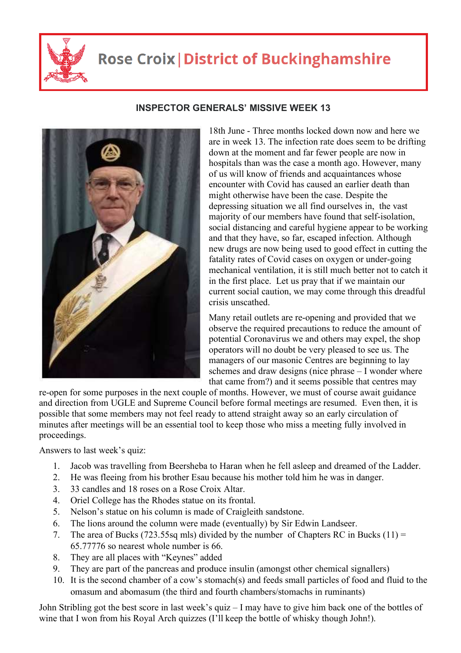

## **Rose Croix | District of Buckinghamshire**



## **INSPECTOR GENERALS' MISSIVE WEEK 13**

18th June - Three months locked down now and here we are in week 13. The infection rate does seem to be drifting down at the moment and far fewer people are now in hospitals than was the case a month ago. However, many of us will know of friends and acquaintances whose encounter with Covid has caused an earlier death than might otherwise have been the case. Despite the depressing situation we all find ourselves in, the vast majority of our members have found that self-isolation, social distancing and careful hygiene appear to be working and that they have, so far, escaped infection. Although new drugs are now being used to good effect in cutting the fatality rates of Covid cases on oxygen or under-going mechanical ventilation, it is still much better not to catch it in the first place. Let us pray that if we maintain our current social caution, we may come through this dreadful crisis unscathed.

Many retail outlets are re-opening and provided that we observe the required precautions to reduce the amount of potential Coronavirus we and others may expel, the shop operators will no doubt be very pleased to see us. The managers of our masonic Centres are beginning to lay schemes and draw designs (nice phrase – I wonder where that came from?) and it seems possible that centres may

re-open for some purposes in the next couple of months. However, we must of course await guidance and direction from UGLE and Supreme Council before formal meetings are resumed. Even then, it is possible that some members may not feel ready to attend straight away so an early circulation of minutes after meetings will be an essential tool to keep those who miss a meeting fully involved in proceedings.

Answers to last week's quiz:

- 1. Jacob was travelling from Beersheba to Haran when he fell asleep and dreamed of the Ladder.
- 2. He was fleeing from his brother Esau because his mother told him he was in danger.
- 3. 33 candles and 18 roses on a Rose Croix Altar.
- 4. Oriel College has the Rhodes statue on its frontal.
- 5. Nelson's statue on his column is made of Craigleith sandstone.
- 6. The lions around the column were made (eventually) by Sir Edwin Landseer.
- 7. The area of Bucks (723.55sq mls) divided by the number of Chapters RC in Bucks (11) = 65.77776 so nearest whole number is 66.
- 8. They are all places with "Keynes" added
- 9. They are part of the pancreas and produce insulin (amongst other chemical signallers)
- 10. It is the second chamber of a cow's stomach(s) and feeds small particles of food and fluid to the omasum and abomasum (the third and fourth chambers/stomachs in ruminants)

John Stribling got the best score in last week's quiz – I may have to give him back one of the bottles of wine that I won from his Royal Arch quizzes (I'll keep the bottle of whisky though John!).